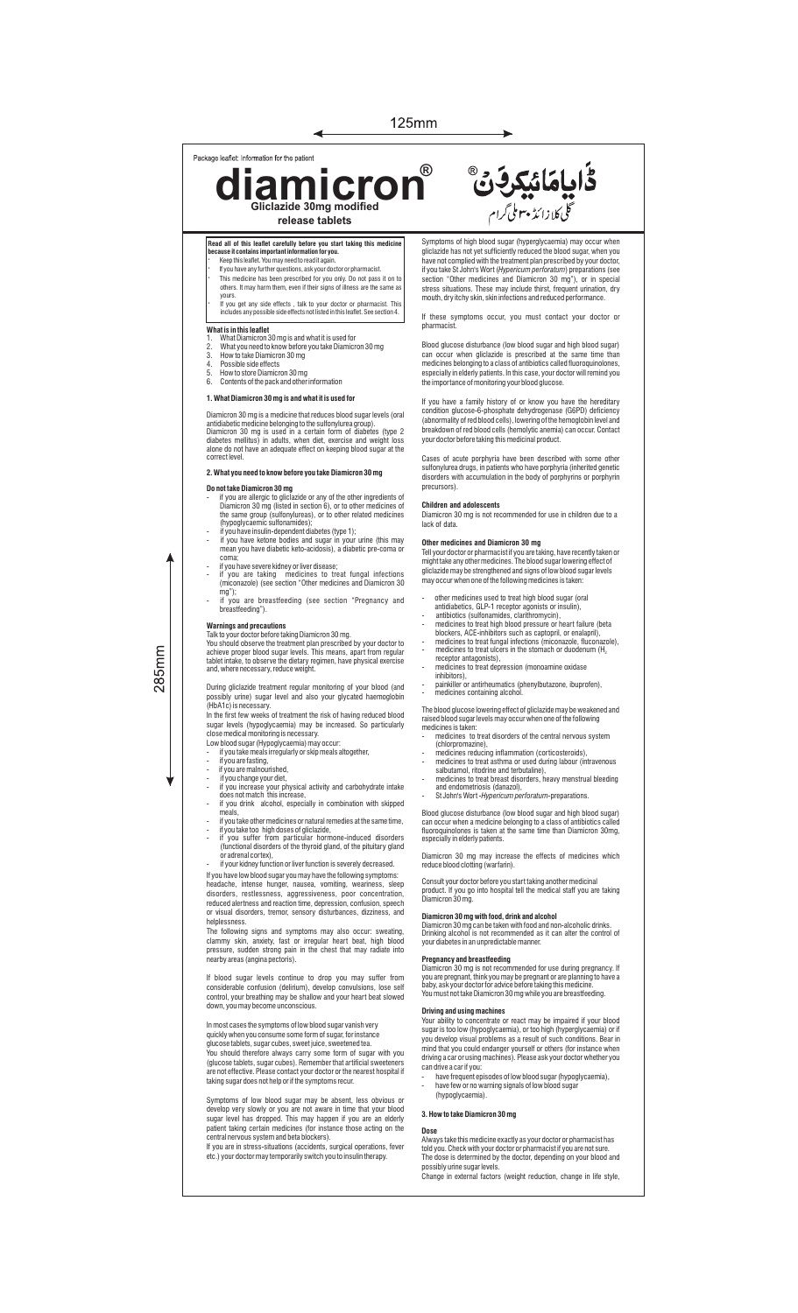## Package leaflet: Information for the patient

**diamicron Gliclazide 30mg modified ®**

# **Read all of this leaflet carefully before you start taking this medi-**<br>because it contains important information for you.

- **because it contains important information for you.** · Keep this leaet. You may need to read it again.
- If you have any further questions, ask your doctor or pharmacist. · This medicine has been prescribed for you only. Do not pass it on to others. It may harm them, even if their signs of illness are the same as

**release tablets**

◀

yours. · If you get any side effects , talk to your doctor or pharmacist. This includes any possible side effects not listed in this leaet. See section 4.

- **What is in this leaflet** 1. What Diamicron 30 mg is and what it is used for
- 2. What you need to know before you take Diamicron 30 mg How to take Diamicron 30 mg
- Possible side effects
- 5. How to store Diamicron 30 mg 6. Contents of the pack and other information

## **1. What Diamicron 30 mg is and what it is used for**

Diamicron 30 mg is a medicine that reduces blood sugar levels (oral<br>antidiabetic medicine belonging to the sulfonylurea group).<br>Diamicron 30 mg is used in a certain form of diabetes (type 2<br>diabetes mellitus) in adults, wh correct level.

# **2. What you need to know before you take Diamicron 30 mg**

- 
- **Do not take Diamicron 30 mg**<br>- if you are allergic to gliclazide or any of the other ingredients of<br>- Diamicron 30 mg (listed in section 6), or to other medicines of<br>the same group (sulfonylureas), or to other related me
- if you have insulin-dependent diabetes (type 1);
- if you have ketone bodies and sugar in your urine (this may mean you have diabetic keto-acidosis), a diabetic pre-coma or coma; - if you have severe kidney or liver disease;
- if you are taking medicines to treat fungal infections (miconazole) (see section "Other medicines and Diamicron 30
- mg"); if you are breastfeeding (see section "Pregnancy and breastfeeding").

285mm

**Warnings and precautions**<br>Talk to your doctor before taking Diamicron 30 mg.<br>You should observe the treatment plan prescribed by your doctor to<br>achieve proper blood sugar levels. This means, apart from regular<br>tablet inta

During gliclazide treatment regular monitoring of your blood (and possibly urine) sugar level and also your glycated haemoglobin

(HbA1c) is necessary.<br>In the first few weeks of treatment the risk of having reduced blood In the first few weeks of treatment the risk of having reduced blood<br>sugar levels (hypoglycaemia) may be increased. So particularly<br>close medical monitoring is necessary.<br>Low blood sugar (Hypoglycaemia) may occur:<br>- if you

- 
- 
- 
- 
- 
- if you take other medicines or natural remedies at the same time,
- if you take too high doses of gliclazide, if you suffer from particular hormone-induced disorders (functional disorders of the thyroid gland, of the pituitary gland
- or adrenal cortex), if your kidney function or liver function is severely decreased.
- 

If you have low blood sugar you may have the following symptoms: headache, intense hunger, nausea, vomiting, weariness, sleep disorders, restlessness, aggressiveness, poor concentration, reduced alertness and reaction time, depression, confusion, speech or visual disorders, tremor, sensory disturbances, dizziness, and

or visual disorders, tremor, sensory disturbances, dizziness, and<br>helplessness.<br>The following signs and symptoms may also occur: sweating,<br>clammy skin, anxiety, fast or irregular heart beat, high blood<br>pressure, sudden str

If blood sugar levels continue to drop you may suffer from considerable confusion (delirium), develop convulsions, lose self control, your breathing may be shallow and your heart beat slowed down, you may become unconscious.

# In most cases the symptoms of low blood sugar vanish very

quickly when you consume some form of sugar, for instance glucose tablets, sugar cubes, sweet juice, sweetened tea.

You should therefore always carry some form of sugar with you<br>(glucose tablets, sugar cubes). Remember that artificial sweeteners<br>are not effective. Please contact your doctor or the nearest hospital if<br>taking sugar does n

Symptoms of low blood sugar may be absent, less obvious or develop very slowly or you are not aware in time that your blood<br>sugar level has dropped. This may happen if you are an elderly<br>patient taking certain medicines (for instance those acting on the<br>central nervous system and

Symptoms of high blood sugar (hyperglycaemia) may occur when gliclazide has not yet sufficiently reduced the blood sugar, when you have not complied with the treatment plan prescribed by your doctor,<br>if you take St John's Wort (*Hypericum perforatum)* preparations (see<br>section "Other medicines and Diamicron 30 mg"), or in special<br>stress situations. Th

ػؙٳۑٳڡؘٳۂؼڔڣۜٙ۠۠

ی<br>گلی کلازا ئڈ پہوملی گرام

If these symptoms occur, you must contact your doctor or nharmacie

Blood glucose disturbance (low blood sugar and high blood sugar) can occur when gliclazide is prescribed at the same time than medicines belonging to a class of antibiotics called fluoroquinolones, especially in elderly patients. In this case, your doctor will remind you the importance of monitoring your blood glucose.

If you have a family history of or know you have the hereditary condition glucose-6-phosphate dehydrogenase (G6PD) deficiency (abnormality of red blood cells), lowering of the hemoglobin level and breakdown of red blood cells (hemolytic anemia) can occur. Contact your doctor before taking this medicinal product.

Cases of acute porphyria have been described with some other sulfonylurea drugs, in patients who have porphyria (inherited genetic disorders with accumulation in the body of porphyrins or porphyrin precursors).

## **Children and adolescents**

Diamicron 30 mg is not recommended for use in children due to a lack of data.

**Other medicines and Diamicron 30 mg**<br>Tell your doctor or pharmacist if you are taking, have recently taken or<br>might take any other medicines. The blood sugar lowering effect of<br>gliciazide may be strengthened and signs of may occur when one of the following medicines is taken:

- 
- 
- other medicines used to treat high blood sugar (oral<br>antidiabetics, GLP-1 receptor agonists or insulin),<br>antibiotics (sulfonamides, clarithromycin),<br>because to treat high blood pressure or heart failure (beta<br>blockers, A
- receptor antagonists).
- medicines to treat depression (monoamine oxidase inhibitors),
- painkiller or antirheumatics (phenylbutazone, ibuprofen), medicines containing alcohol

The blood glucose lowering effect of gliclazide may be weakened and raised blood sugar levels may occur when one of the following medicines is taken: - medicines to treat disorders of the central nervous system

- 
- 
- (chlorpromazine),<br>
 medicines reducing inflammation (corticosteroids),<br>
 medicines to treat asthma or used during labour (intravenous<br>
salbutamol, ritodrine and terbutaline),<br>
 medicines to treat breast disorders, heavy
- 

Blood glucose disturbance (low blood sugar and high blood sugar)<br>can occur when a medicine belonging to a class of antibiotics called<br>fluoroquinolones is taken at the same time than Diamicron 30mg,<br>especially in elderly pa

Diamicron 30 mg may increase the effects of medicines which reduce blood clotting (warfarin).

Consult your doctor before you start taking another medicinal product. If you go into hospital tell the medical staff you are taking Diamicron 30 mg.

### **Diamicron 30 mg with food, drink and alcohol**

Diamicron 30 mg can be taken with food and non-alcoholic drinks.

Drinking alcohol is not recommended as it can alter the control of your diabetes in an unpredictable manner.

**Pregnancy and breastfeeding**<br>Diamicron 30 mg is not recommended for use during pregnancy. If<br>you are pregnant, think you may be pregnant or are planning to have a<br>baby, ask your doctor for advice before taking this medici

**Driving and using machines** Your ability to concentrate or react may be impaired if your blood sugar is too low (hypoglycaemia), or too high (hyperglycaemia) or if you develop visual problems as a result of such conditions. Bear in

- mind that you could endanger yourself or others (for instance when<br>driving a car or using machines). Please ask your doctor whether you<br>can drive a car if you:<br>- have frequent episodes of low blood sugar (hypoglyca
- have few or no warning signals of low blood suga (hypoglycaemia).

## **3. How to take Diamicron 30 mg**

## **Dose**

Always take this medicine exactly as your doctor or pharmacist has told you. Check with your doctor or pharmacist if you are not sure. The dose is determined by the doctor, depending on your blood and possibly urine sugar levels. Change in external factors (weight reduction, change in life style,